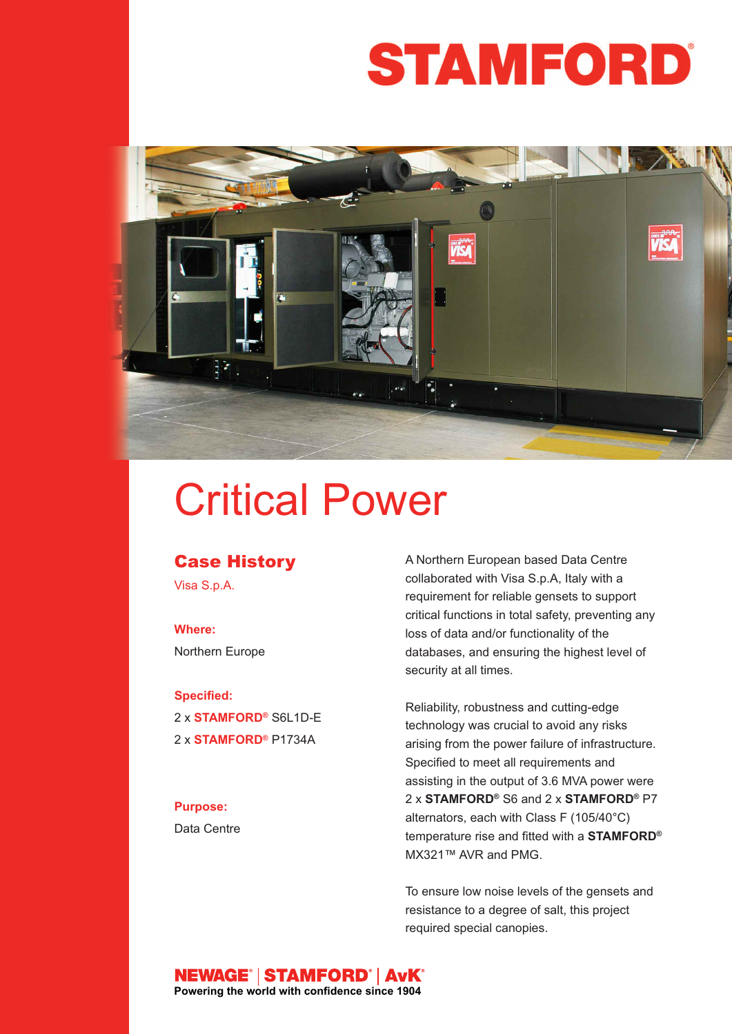# **STAMFORD**



# Critical Power

## **Case History**

Visa S.p.A.

### **Where:** Northern Europe

#### **Specified:**

2 x **STAMFORD®** S6L1D-E 2 x **STAMFORD®** P1734A

#### **Purpose:**

Data Centre

A Northern European based Data Centre collaborated with Visa S.p.A, Italy with a requirement for reliable gensets to support critical functions in total safety, preventing any loss of data and/or functionality of the databases, and ensuring the highest level of security at all times.

Reliability, robustness and cutting-edge technology was crucial to avoid any risks arising from the power failure of infrastructure. Specified to meet all requirements and assisting in the output of 3.6 MVA power were 2 x **STAMFORD®** S6 and 2 x **STAMFORD®** P7 alternators, each with Class F (105/40°C) temperature rise and fitted with a **STAMFORD®** MX321™ AVR and PMG.

To ensure low noise levels of the gensets and resistance to a degree of salt, this project required special canopies.